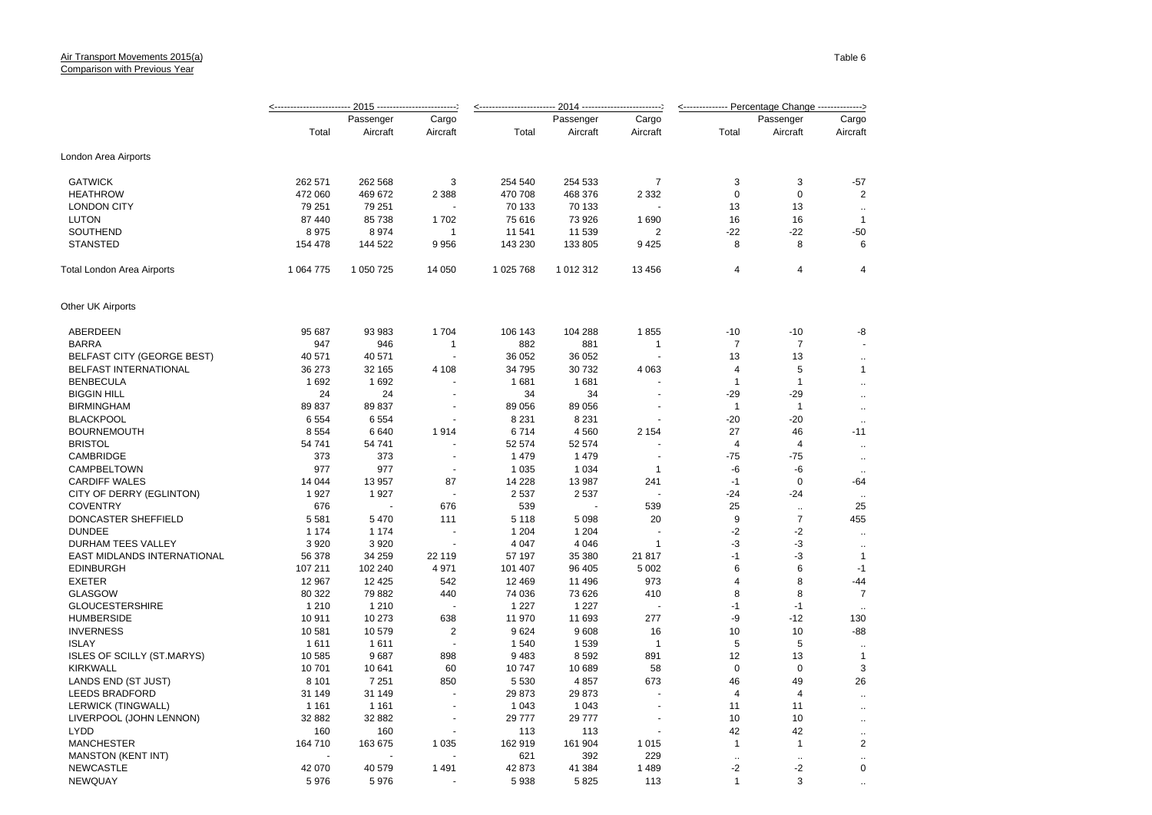## Air Transport Movements 2015(a) Comparison with Previous Year

|                                     |                |                |                          |                |                |                | <-------------- Percentage Change --------------> |                       |                                      |
|-------------------------------------|----------------|----------------|--------------------------|----------------|----------------|----------------|---------------------------------------------------|-----------------------|--------------------------------------|
|                                     |                | Passenger      | Cargo                    |                | Passenger      | Cargo          |                                                   | Passenger             | Cargo                                |
|                                     | Total          | Aircraft       | Aircraft                 | Total          | Aircraft       | Aircraft       | Total                                             | Aircraft              | Aircraft                             |
| London Area Airports                |                |                |                          |                |                |                |                                                   |                       |                                      |
| <b>GATWICK</b>                      | 262 571        | 262 568        | 3                        | 254 540        | 254 533        | $\overline{7}$ | 3                                                 | 3                     | $-57$                                |
| <b>HEATHROW</b>                     | 472 060        | 469 672        | 2 3 8 8                  | 470 708        | 468 376        | 2 3 3 2        | $\mathbf 0$                                       | $\mathbf 0$           | $\overline{2}$                       |
| <b>LONDON CITY</b>                  | 79 251         | 79 251         |                          | 70 133         | 70 133         |                | 13                                                | 13                    |                                      |
| <b>LUTON</b>                        | 87 440         | 85 738         | 1702                     | 75 616         | 73 926         | 1690           | 16                                                | 16                    | $\mathbf{1}$                         |
| SOUTHEND                            | 8975           | 8974           | $\mathbf{1}$             | 11 541         | 11 539         | 2              | $-22$                                             | $-22$                 | $-50$                                |
| <b>STANSTED</b>                     | 154 478        | 144 522        | 9956                     | 143 230        | 133 805        | 9 4 2 5        | 8                                                 | 8                     | 6                                    |
| Total London Area Airports          | 1 0 64 7 7 5   | 1 050 725      | 14 050                   | 1 025 768      | 1 012 312      | 13 456         | 4                                                 | 4                     | 4                                    |
| Other UK Airports                   |                |                |                          |                |                |                |                                                   |                       |                                      |
| ABERDEEN                            | 95 687         | 93 983         | 1704                     | 106 143        | 104 288        | 1855           | $-10$                                             | $-10$                 | -8                                   |
| <b>BARRA</b>                        | 947            | 946            | 1                        | 882            | 881            | 1              | $\overline{7}$                                    | $\overline{7}$        |                                      |
| <b>BELFAST CITY (GEORGE BEST)</b>   | 40 571         | 40 571         |                          | 36 052         | 36 052         |                | 13                                                | 13                    | $\ddot{\phantom{a}}$                 |
| BELFAST INTERNATIONAL               | 36 273         | 32 165         | 4 1 0 8                  | 34 795         | 30 732         | 4 0 6 3        | 4                                                 | 5                     | $\mathbf{1}$                         |
| <b>BENBECULA</b>                    | 1692           | 1692           |                          | 1681           | 1681           |                | $\mathbf{1}$                                      | $\mathbf{1}$          | $\ddot{\phantom{a}}$                 |
| <b>BIGGIN HILL</b>                  | 24             | 24             |                          | 34             | 34             |                | $-29$                                             | $-29$                 | $\ddotsc$                            |
| <b>BIRMINGHAM</b>                   | 89837          | 89 837         | $\overline{\phantom{a}}$ | 89 056         | 89 056         | $\overline{a}$ | $\mathbf{1}$                                      | $\mathbf{1}$          | $\ddotsc$                            |
| <b>BLACKPOOL</b>                    | 6 5 5 4        | 6 5 5 4        |                          | 8 2 3 1        | 8 2 3 1        |                | $-20$                                             | $-20$                 | $\ddotsc$                            |
| <b>BOURNEMOUTH</b>                  | 8 5 5 4        | 6640           | 1914                     | 6714           | 4560           | 2 1 5 4        | 27                                                | 46                    | $-11$                                |
| <b>BRISTOL</b>                      | 54 741         | 54 741         |                          | 52 574         | 52 574         |                | $\overline{a}$                                    | $\overline{4}$        | $\ddotsc$                            |
| CAMBRIDGE                           | 373            | 373            |                          | 1479           | 1479           |                | $-75$                                             | $-75$                 | $\ddotsc$                            |
| CAMPBELTOWN                         | 977            | 977            |                          | 1 0 3 5        | 1 0 3 4        | $\mathbf{1}$   | -6                                                | -6                    | $\ddotsc$                            |
| <b>CARDIFF WALES</b>                | 14 044         | 13 957         | 87                       | 14 228         | 13 987         | 241            | $-1$                                              | $\mathbf 0$           | -64                                  |
| CITY OF DERRY (EGLINTON)            | 1927           | 1927           |                          | 2 5 3 7        | 2537           | $\overline{a}$ | $-24$                                             | $-24$                 |                                      |
| <b>COVENTRY</b>                     | 676            |                | 676                      | 539            |                | 539            | 25                                                | $\ddotsc$             | 25                                   |
| DONCASTER SHEFFIELD                 | 5 5 8 1        | 5 4 7 0        | 111                      | 5 1 1 8        | 5 0 9 8        | 20             | 9                                                 | $\overline{7}$        | 455                                  |
| <b>DUNDEE</b>                       | 1 1 7 4        | 1 1 7 4        |                          | 1 2 0 4        | 1 2 0 4        |                | $-2$                                              | $-2$                  | $\ddotsc$                            |
| DURHAM TEES VALLEY                  | 3 9 2 0        | 3 9 2 0        | $\blacksquare$           | 4 0 4 7        | 4 0 4 6        | 1              | $-3$                                              | -3                    | $\ddotsc$                            |
| EAST MIDLANDS INTERNATIONAL         | 56 378         | 34 259         | 22 119                   | 57 197         | 35 380         | 21 817         | $-1$                                              | $-3$                  | $\mathbf{1}$                         |
| <b>EDINBURGH</b>                    | 107 211        | 102 240        | 4 9 7 1                  | 101 407        | 96 405         | 5 0 0 2        | 6                                                 | 6                     | $-1$                                 |
| <b>EXETER</b>                       | 12 967         | 12 4 25        | 542                      | 12 4 69        | 11 496         | 973            | 4                                                 | 8                     | $-44$                                |
| <b>GLASGOW</b>                      | 80 322         | 79 882         | 440                      | 74 036         | 73 626         | 410            | 8                                                 | 8                     | $\overline{7}$                       |
| <b>GLOUCESTERSHIRE</b>              | 1 2 1 0        | 1 2 1 0        |                          | 1 2 2 7        | 1 2 2 7        |                | $-1$                                              | $-1$                  |                                      |
| <b>HUMBERSIDE</b>                   | 10911          | 10 273         | 638                      | 11 970         | 11 693         | 277            | -9                                                | $-12$                 | 130                                  |
| <b>INVERNESS</b>                    | 10581          | 10 579         | $\overline{2}$           | 9624           | 9608           | 16             | 10                                                | 10                    | $-88$                                |
| <b>ISLAY</b>                        | 1611           | 1611           |                          | 1540           | 1539           | $\overline{1}$ | 5                                                 | 5                     |                                      |
| <b>ISLES OF SCILLY (ST.MARYS)</b>   | 10 585         | 9687           | 898                      | 9483           | 8592           | 891            | 12                                                | 13                    | $\ddotsc$<br>$\mathbf{1}$            |
| <b>KIRKWALL</b>                     | 10701          | 10 641         | 60                       | 10747          | 10 689         | 58             | 0                                                 | 0                     | 3                                    |
| LANDS END (ST JUST)                 | 8 1 0 1        | 7 2 5 1        | 850                      | 5 5 3 0        | 4857           | 673            | 46                                                | 49                    | 26                                   |
| <b>LEEDS BRADFORD</b>               | 31 149         | 31 149         |                          | 29 873         | 29 873         |                | 4                                                 | $\overline{4}$        |                                      |
| <b>LERWICK (TINGWALL)</b>           | 1 1 6 1        | 1 1 6 1        |                          | 1 0 4 3        | 1 0 4 3        | ÷,             | 11                                                | 11                    | $\ddot{\phantom{a}}$                 |
| LIVERPOOL (JOHN LENNON)             | 32 882         | 32 882         | $\blacksquare$           | 29 777         | 29 777         |                | 10                                                | 10                    | $\ddot{\phantom{a}}$                 |
| <b>LYDD</b>                         | 160            | 160            |                          | 113            | 113            | ÷,             | 42                                                | 42                    | $\ddotsc$                            |
| <b>MANCHESTER</b>                   | 164 710        | 163 675        | 1 0 3 5                  | 162 919        | 161 904        |                |                                                   | $\mathbf{1}$          | $\ddotsc$<br>$\overline{\mathbf{c}}$ |
|                                     |                |                |                          |                |                | 1 0 1 5        | $\mathbf{1}$                                      |                       |                                      |
| <b>MANSTON (KENT INT)</b>           |                |                |                          | 621            | 392            | 229            | $\ddot{\phantom{a}}$                              |                       | $\ddot{\phantom{a}}$<br>0            |
| <b>NEWCASTLE</b><br><b>NEWOLIAY</b> | 42 070<br>5976 | 40 579<br>5976 | 1491                     | 42 873<br>5938 | 41 384<br>5825 | 1 4 8 9<br>113 | $-2$<br>$\mathbf{1}$                              | $-2$<br>$\mathcal{R}$ |                                      |
|                                     |                |                |                          |                |                |                |                                                   |                       |                                      |